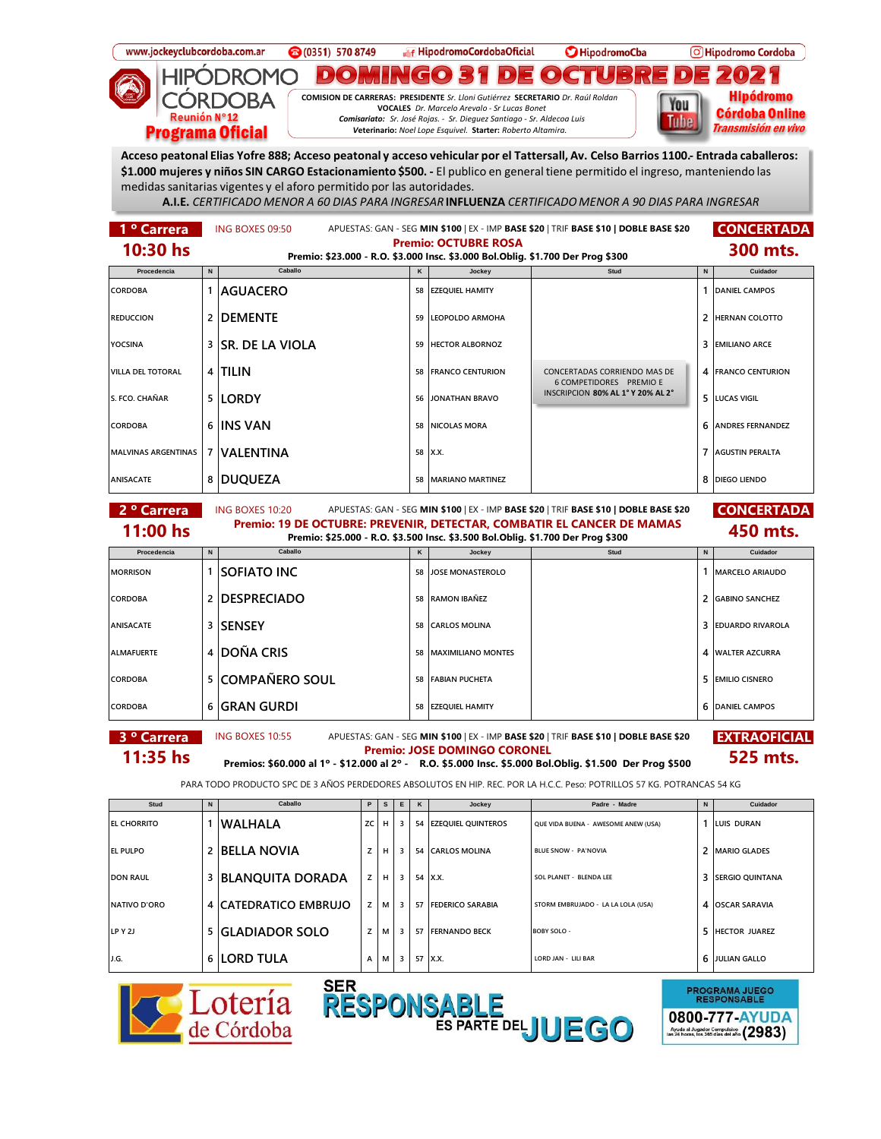





**PROGRAMA JUEGO<br>RESPONSABLE** 0800-777-AYUDA Ayuda al Jugador Compulsivo  $(2983)$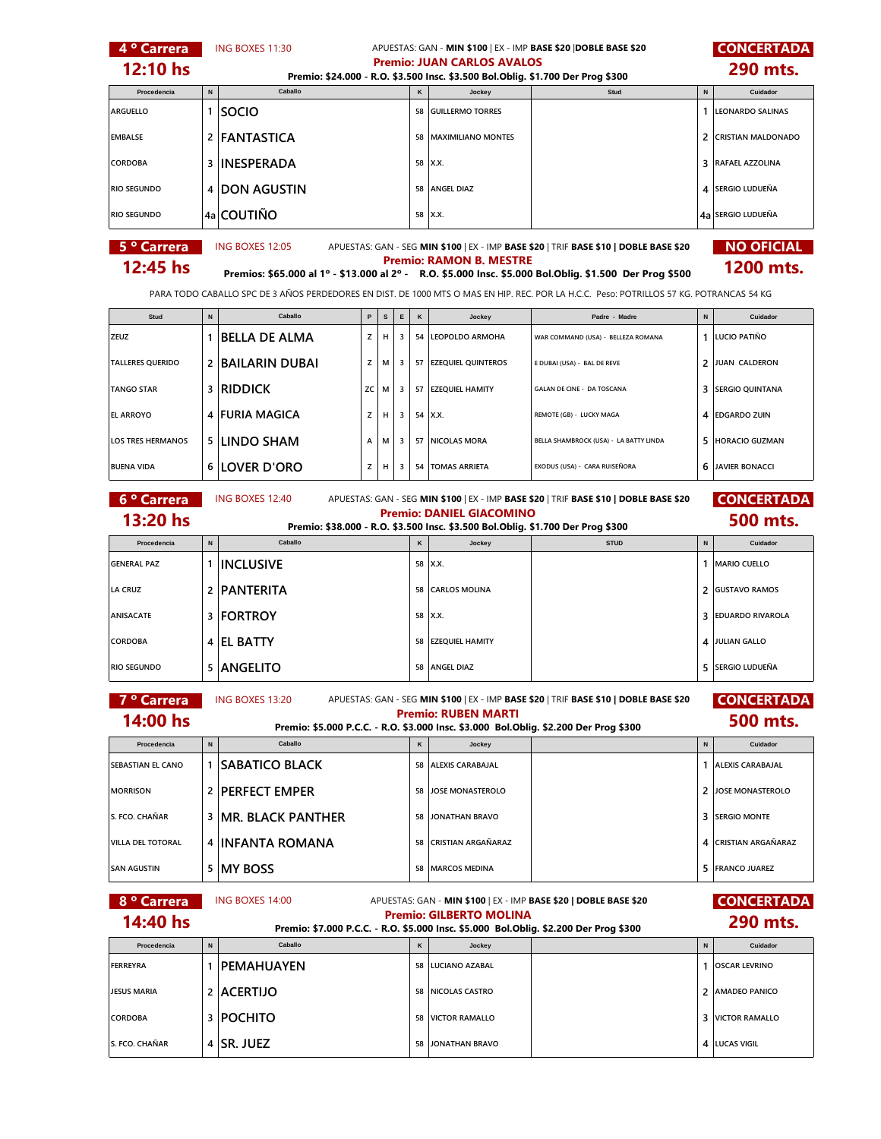| 4 <sup>°</sup> Carrera   |                                                                                                                               | ING BOXES 11:30             |             |                           | APUESTAS: GAN - MIN \$100   EX - IMP BASE \$20   DOBLE BASE \$20<br><b>Premio: JUAN CARLOS AVALOS</b> |          |                                                                                           |                                                                                                                                         |              | <b>CONCERTADA</b>         |  |
|--------------------------|-------------------------------------------------------------------------------------------------------------------------------|-----------------------------|-------------|---------------------------|-------------------------------------------------------------------------------------------------------|----------|-------------------------------------------------------------------------------------------|-----------------------------------------------------------------------------------------------------------------------------------------|--------------|---------------------------|--|
| 12:10 hs                 |                                                                                                                               |                             |             |                           |                                                                                                       |          | Premio: \$24.000 - R.O. \$3.500 Insc. \$3.500 Bol.Oblig. \$1.700 Der Prog \$300           |                                                                                                                                         |              | 290 mts.                  |  |
| Procedencia              | $\mathsf{N}$                                                                                                                  | Caballo                     |             |                           |                                                                                                       | Κ        | Jockey                                                                                    | Stud                                                                                                                                    | N            | Cuidador                  |  |
| ARGUELLO                 |                                                                                                                               | 1 SOCIO                     |             |                           |                                                                                                       | 58       | <b>GUILLERMO TORRES</b>                                                                   |                                                                                                                                         | 1            | <b>LEONARDO SALINAS</b>   |  |
| <b>EMBALSE</b>           |                                                                                                                               | 2 FANTASTICA                |             |                           |                                                                                                       | 58       | <b>MAXIMILIANO MONTES</b>                                                                 |                                                                                                                                         | 2            | <b>CRISTIAN MALDONADO</b> |  |
| CORDOBA                  |                                                                                                                               | 3 INESPERADA                |             |                           |                                                                                                       |          | 58 X.X.                                                                                   |                                                                                                                                         | 3            | <b>RAFAEL AZZOLINA</b>    |  |
| <b>RIO SEGUNDO</b>       |                                                                                                                               | 4 DON AGUSTIN               |             |                           |                                                                                                       | 58       | <b>ANGEL DIAZ</b>                                                                         |                                                                                                                                         | 4            | SERGIO LUDUEÑA            |  |
| <b>RIO SEGUNDO</b>       |                                                                                                                               | 4a COUTIÑO                  |             |                           |                                                                                                       |          | 58 X.X.                                                                                   |                                                                                                                                         |              | 4a SERGIO LUDUEÑA         |  |
| 5 <sup>°</sup> Carrera   |                                                                                                                               | ING BOXES 12:05             |             |                           |                                                                                                       |          |                                                                                           | APUESTAS: GAN - SEG MIN \$100   EX - IMP BASE \$20   TRIF BASE \$10   DOBLE BASE \$20                                                   |              | <b>NO OFICIAL</b>         |  |
| $12:45$ hs               |                                                                                                                               |                             |             |                           |                                                                                                       |          | <b>Premio: RAMON B. MESTRE</b>                                                            | Premios: \$65.000 al 1º - \$13.000 al 2º - R.O. \$5.000 Insc. \$5.000 Bol.Oblig. \$1.500 Der Prog \$500                                 |              | 1200 mts.                 |  |
|                          |                                                                                                                               |                             |             |                           |                                                                                                       |          |                                                                                           | PARA TODO CABALLO SPC DE 3 AÑOS PERDEDORES EN DIST. DE 1000 MTS O MAS EN HIP. REC. POR LA H.C.C. Peso: POTRILLOS 57 KG. POTRANCAS 54 KG |              |                           |  |
| Stud                     | $\,$ N                                                                                                                        | Caballo                     | $\mathsf P$ | $\boldsymbol{\mathsf{s}}$ | E                                                                                                     | $\kappa$ | Jockey                                                                                    | Padre - Madre                                                                                                                           | $\,$ N       | Cuidador                  |  |
| ZEUZ                     |                                                                                                                               | 1 BELLA DE ALMA             | z           | н                         | 3                                                                                                     | 54       | LEOPOLDO ARMOHA                                                                           | WAR COMMAND (USA) - BELLEZA ROMANA                                                                                                      |              | 1 LUCIO PATIÑO            |  |
| <b>TALLERES QUERIDO</b>  |                                                                                                                               | 2 BAILARIN DUBAI            | z           | М                         | 3                                                                                                     | 57       | <b>EZEQUIEL QUINTEROS</b>                                                                 | E DUBAI (USA) - BAL DE REVE                                                                                                             | 2            | JUAN CALDERON             |  |
| <b>TANGO STAR</b>        |                                                                                                                               | 3 RIDDICK                   | zс          | М                         | 3                                                                                                     | 57       | <b>EZEQUIEL HAMITY</b>                                                                    | GALAN DE CINE - DA TOSCANA                                                                                                              | 3            | <b>SERGIO QUINTANA</b>    |  |
| <b>EL ARROYO</b>         |                                                                                                                               | 4 FURIA MAGICA              | z           | н                         | 3                                                                                                     | 54       | X.X.                                                                                      | REMOTE (GB) - LUCKY MAGA                                                                                                                | 4            | <b>EDGARDO ZUIN</b>       |  |
| <b>LOS TRES HERMANOS</b> |                                                                                                                               | <b>5 LINDO SHAM</b>         | А           | м                         | 3                                                                                                     | 57       | <b>NICOLAS MORA</b>                                                                       | BELLA SHAMBROCK (USA) - LA BATTY LINDA                                                                                                  | 5            | <b>HORACIO GUZMAN</b>     |  |
| <b>BUENA VIDA</b>        |                                                                                                                               | 6 LOVER D'ORO               | z           | н                         | 3                                                                                                     | 54       | <b>TOMAS ARRIETA</b>                                                                      | EXODUS (USA) - CARA RUISEÑORA                                                                                                           | 6            | <b>JAVIER BONACCI</b>     |  |
| 6 <sup>°</sup> Carrera   | <b>CONCERTADA</b><br>ING BOXES 12:40<br>APUESTAS: GAN - SEG MIN \$100   EX - IMP BASE \$20   TRIF BASE \$10   DOBLE BASE \$20 |                             |             |                           |                                                                                                       |          |                                                                                           |                                                                                                                                         |              |                           |  |
| 13:20 hs                 |                                                                                                                               |                             |             |                           |                                                                                                       |          | <b>Premio: DANIEL GIACOMINO</b>                                                           |                                                                                                                                         |              | 500 mts.                  |  |
| Procedencia              | $\mathsf{N}$                                                                                                                  | Caballo                     |             |                           |                                                                                                       | κ        | Premio: \$38.000 - R.O. \$3.500 Insc. \$3.500 Bol.Oblig. \$1.700 Der Prog \$300<br>Jockey | <b>STUD</b>                                                                                                                             | N            | Cuidador                  |  |
| <b>GENERAL PAZ</b>       |                                                                                                                               | <b>1 INCLUSIVE</b>          |             |                           |                                                                                                       | 58       | X.X.                                                                                      |                                                                                                                                         | $\mathbf{1}$ | <b>MARIO CUELLO</b>       |  |
| <b>LA CRUZ</b>           |                                                                                                                               | 2 PANTERITA                 |             |                           |                                                                                                       | 58       | <b>CARLOS MOLINA</b>                                                                      |                                                                                                                                         | 2            | <b>GUSTAVO RAMOS</b>      |  |
| <b>ANISACATE</b>         |                                                                                                                               | <b>3 FORTROY</b>            |             |                           |                                                                                                       | 58       | X.X.                                                                                      |                                                                                                                                         | 3            | <b>EDUARDO RIVAROLA</b>   |  |
| CORDOBA                  |                                                                                                                               | 4 <b>EL BATTY</b>           |             |                           |                                                                                                       | 58       | EZEQUIEL HAMITY                                                                           |                                                                                                                                         | 4            | <b>JULIAN GALLO</b>       |  |
| <b>RIO SEGUNDO</b>       |                                                                                                                               | 5 ANGELITO                  |             |                           |                                                                                                       | 58       | <b>ANGEL DIAZ</b>                                                                         |                                                                                                                                         | 5            | <b>SERGIO LUDUEÑA</b>     |  |
| 7 <sup>o</sup> Carrera   |                                                                                                                               | ING BOXES 13:20             |             |                           |                                                                                                       |          |                                                                                           | APUESTAS: GAN - SEG MIN \$100   EX - IMP BASE \$20   TRIF BASE \$10   DOBLE BASE \$20                                                   |              | <b>CONCERTADA</b>         |  |
| 14:00 hs                 |                                                                                                                               |                             |             |                           |                                                                                                       |          | <b>Premio: RUBEN MARTI</b>                                                                | Premio: \$5.000 P.C.C. - R.O. \$3.000 Insc. \$3.000 Bol.Oblig. \$2.200 Der Prog \$300                                                   |              | 500 mts.                  |  |
| Procedencia              | N                                                                                                                             | Caballo                     |             |                           |                                                                                                       | Κ        | Jockey                                                                                    |                                                                                                                                         | N            | Cuidador                  |  |
| <b>SEBASTIAN EL CANO</b> |                                                                                                                               | 1   SABATICO BLACK          |             |                           |                                                                                                       | 58       | <b>ALEXIS CARABAJAL</b>                                                                   |                                                                                                                                         |              | 1 ALEXIS CARABAJAL        |  |
| <b>MORRISON</b>          |                                                                                                                               | 2 <b>PERFECT EMPER</b>      |             |                           |                                                                                                       | 58       | JOSE MONASTEROLO                                                                          |                                                                                                                                         | 2            | <b>JOSE MONASTEROLO</b>   |  |
| S. FCO. CHAÑAR           |                                                                                                                               | <b>3 IMR. BLACK PANTHER</b> |             |                           |                                                                                                       | 58       | <b>JONATHAN BRAVO</b>                                                                     |                                                                                                                                         | 3            | <b>SERGIO MONTE</b>       |  |
| <b>VILLA DEL TOTORAL</b> |                                                                                                                               | 4 INFANTA ROMANA            |             |                           |                                                                                                       | 58       | <b>CRISTIAN ARGAÑARAZ</b>                                                                 |                                                                                                                                         | 4            | <b>CRISTIAN ARGAÑARAZ</b> |  |
| <b>SAN AGUSTIN</b>       |                                                                                                                               | 5   MY BOSS                 |             |                           |                                                                                                       | 58       | <b>MARCOS MEDINA</b>                                                                      |                                                                                                                                         | 5            | <b>FRANCO JUAREZ</b>      |  |
| 8 <sup>°</sup> Carrera   |                                                                                                                               | ING BOXES 14:00             |             |                           |                                                                                                       |          |                                                                                           | APUESTAS: GAN - MIN \$100   EX - IMP BASE \$20   DOBLE BASE \$20                                                                        |              | <b>CONCERTADA</b>         |  |
| 14:40 hs                 |                                                                                                                               |                             |             |                           |                                                                                                       |          | <b>Premio: GILBERTO MOLINA</b>                                                            |                                                                                                                                         |              | 290 mts.                  |  |
| Procedencia              | N                                                                                                                             | Caballo                     |             |                           |                                                                                                       | κ        | Jockey                                                                                    | Premio: \$7.000 P.C.C. - R.O. \$5.000 Insc. \$5.000 Bol.Oblig. \$2.200 Der Prog \$300                                                   | N            | Cuidador                  |  |
| <b>FERREYRA</b>          |                                                                                                                               | 1   PEMAHUAYEN              |             |                           |                                                                                                       |          | 58 LUCIANO AZABAL                                                                         |                                                                                                                                         |              | 1 OSCAR LEVRINO           |  |
| JESUS MARIA              |                                                                                                                               | 2 ACERTIJO                  |             |                           |                                                                                                       | 58       | NICOLAS CASTRO                                                                            |                                                                                                                                         | 2            | <b>AMADEO PANICO</b>      |  |
| <b>CORDOBA</b>           |                                                                                                                               | <b>3 POCHITO</b>            |             |                           |                                                                                                       | 58       | <b>VICTOR RAMALLO</b>                                                                     |                                                                                                                                         | 3            | <b>VICTOR RAMALLO</b>     |  |
| S. FCO. CHAÑAR           |                                                                                                                               | 4   SR. JUEZ                |             |                           |                                                                                                       | 58       | JONATHAN BRAVO                                                                            |                                                                                                                                         |              | 4 LUCAS VIGIL             |  |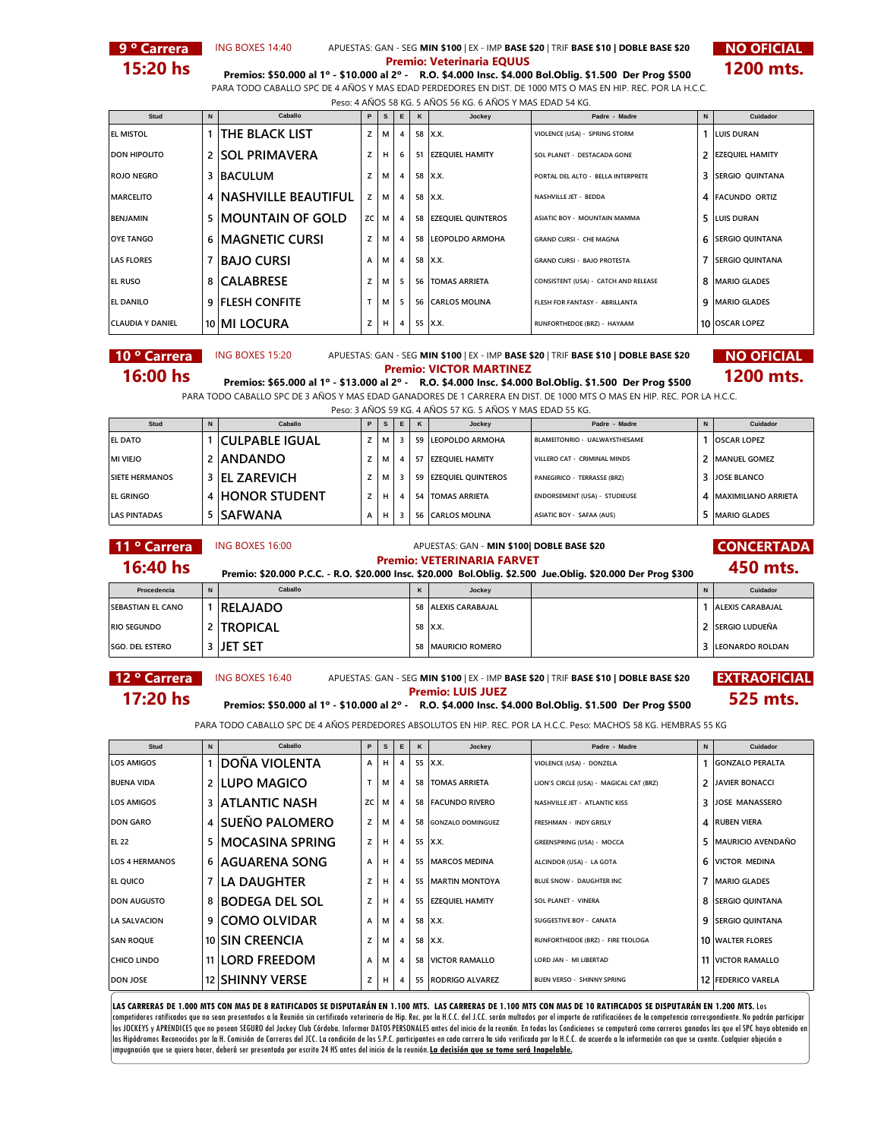

**9 ° Carrera NO OFICIAL** APUESTAS: GAN - SEG MIN \$100 | EX - IMP BASE \$20 | TRIF BASE \$10 | DOBLE BASE \$20 NO OFICIAL ING BOXES 14:40



**15:20 hs Premios: \$50.000 al 1º - \$10.000 al 2º - R.O. \$4.000 Insc. \$4.000 Bol.Oblig. \$1.500 Der Prog \$500 1200 mts.** PARA TODO CABALLO SPC DE 4 AÑOS Y MAS EDAD PERDEDORES EN DIST. DE 1000 MTS O MAS EN HIP. REC. POR LA H.C.C.

| Peso: 4 AÑOS 58 KG, 5 AÑOS 56 KG, 6 AÑOS Y MAS EDAD 54 KG, |                         |                         |    |    |                |          |                       |                                      |             |                         |  |  |
|------------------------------------------------------------|-------------------------|-------------------------|----|----|----------------|----------|-----------------------|--------------------------------------|-------------|-------------------------|--|--|
| Stud                                                       | Caballo<br>$\mathbf{N}$ |                         | P. | s. | E              | $\kappa$ | Jockey                | Padre - Madre                        | $\mathbf N$ | Cuidador                |  |  |
| <b>EL MISTOL</b>                                           |                         | <b>THE BLACK LIST</b>   |    | М  | 4              |          | 58   X.X.             | VIOLENCE (USA) - SPRING STORM        |             | <b>LUIS DURAN</b>       |  |  |
| <b>DON HIPOLITO</b>                                        |                         | 2 SOL PRIMAVERA         | z  |    | 6              |          | 51 EZEQUIEL HAMITY    | SOL PLANET - DESTACADA GONE          |             | <b>EZEQUIEL HAMITY</b>  |  |  |
| <b>ROJO NEGRO</b>                                          |                         | 3 BACULUM               |    | м  | 4              |          | 58 X.X.               | PORTAL DEL ALTO - BELLA INTERPRETE   | 3           | <b>SERGIO OUINTANA</b>  |  |  |
| <b>MARCELITO</b>                                           |                         | 4 NASHVILLE BEAUTIFUL   | z  | м  | $\overline{4}$ |          | 58 X.X.               | NASHVILLE JET - BEDDA                |             | 4 FACUNDO ORTIZ         |  |  |
| <b>BENJAMIN</b>                                            |                         | 5 MOUNTAIN OF GOLD      | ZC | М  | 4              |          | 58 EZEQUIEL QUINTEROS | ASIATIC BOY - MOUNTAIN MAMMA         |             | 5 LUIS DURAN            |  |  |
| <b>OYE TANGO</b>                                           |                         | <b>6 MAGNETIC CURSI</b> |    | м  | 4              |          | 58 LEOPOLDO ARMOHA    | <b>GRAND CURSI - CHE MAGNA</b>       | 6           | <b>SERGIO QUINTANA</b>  |  |  |
| <b>LAS FLORES</b>                                          | 7                       | IBAJO CURSI             | A  | м  | 4              |          | 58 X.X.               | <b>GRAND CURSI - BAJO PROTESTA</b>   |             | <b>ISERGIO QUINTANA</b> |  |  |
| <b>EL RUSO</b>                                             |                         | 8 CALABRESE             |    | м  | 5              |          | 56   TOMAS ARRIETA    | CONSISTENT (USA) - CATCH AND RELEASE | 8           | <b>MARIO GLADES</b>     |  |  |
| <b>EL DANILO</b>                                           |                         | <b>9 FLESH CONFITE</b>  |    | м  | 5.             |          | 56 CARLOS MOLINA      | FLESH FOR FANTASY - ABRILLANTA       | q           | <b>MARIO GLADES</b>     |  |  |
| <b>CLAUDIA Y DANIEL</b>                                    |                         | 10 MI LOCURA            |    | н  | $\overline{4}$ |          | 55   X.X.             | RUNFORTHEDOE (BRZ) - HAYAAM          |             | 10 OSCAR LOPEZ          |  |  |

**10 ° Carrera** ING BOXES 15:20 APUESTAS: GAN - SEG MIN \$100 | EX - IMP BASE \$20 | TRIF BASE \$10 | DOBLE BASE \$20 **NO OFICIAL** 

**16:00 hs Premios: \$65.000 al 1º - \$13.000 al 2º - R.O. \$4.000 Insc. \$4.000 Bol.Oblig. \$1.500 Der Prog \$500 1200 mts.** 

PARA TODO CABALLO SPC DE 3 AÑOS Y MAS EDAD GANADORES DE 1 CARRERA EN DIST. DE 1000 MTS O MAS EN HIP. REC. POR LA H.C.C.

| Peso: 3 AÑOS 59 KG, 4 AÑOS 57 KG, 5 AÑOS Y MAS EDAD 55 KG, |  |                       |   |    |   |   |                       |                               |  |                       |  |  |
|------------------------------------------------------------|--|-----------------------|---|----|---|---|-----------------------|-------------------------------|--|-----------------------|--|--|
| Stud                                                       |  | Caballo               | P | s  | E | K | Jockey                | Padre - Madre                 |  | Cuidador              |  |  |
| EL DATO                                                    |  | <b>CULPABLE IGUAL</b> |   | м  |   |   | 59 LEOPOLDO ARMOHA    | BLAMEITONRIO - UALWAYSTHESAME |  | <b>OSCAR LOPEZ</b>    |  |  |
| MI VIEJO                                                   |  | 2 ANDANDO             |   | М  |   |   | 57 EZEOUIEL HAMITY    | VILLERO CAT - CRIMINAL MINDS  |  | <b>MANUEL GOMEZ</b>   |  |  |
| <b>SIETE HERMANOS</b>                                      |  | 3 EL ZAREVICH         |   | М  |   |   | 59 EZEQUIEL QUINTEROS | PANEGIRICO - TERRASSE (BRZ)   |  | 3 JOSE BLANCO         |  |  |
| <b>EL GRINGO</b>                                           |  | 4 HONOR STUDENT       |   | н. | 4 |   | 54 TOMAS ARRIETA      | ENDORSEMENT (USA) - STUDIEUSE |  | 4 MAXIMILIANO ARRIETA |  |  |
| <b>LAS PINTADAS</b>                                        |  | 5 SAFWANA             |   |    |   |   | 56 CARLOS MOLINA      | ASIATIC BOY - SAFAA (AUS)     |  | <b>MARIO GLADES</b>   |  |  |

## **11 º Carrera** ING BOXES 16:00 **APUESTAS: GAN - MIN \$100| DOBLE BASE \$20 CONCERTADA**<br> **14 Code Line 150 and the CONCERTADA** APUESTAS: GAN - **MIN \$100| DOBLE BASE \$20**

**16:40 hs Premio: \$20.000 P.C.C. - R.O. \$20.000 Insc. \$20.000 Bol.Oblig. \$2.500 Jue.Oblig. \$20.000 Der Prog \$300**<br>**Premio: \$20.000 P.C.C. - R.O. \$20.000 Insc. \$20.000 Bol.Oblig. \$2.500 Jue.Oblig. \$20.000 Der Prog \$300** 

| Procedencia              | Caballo         | Jockey               |  | Cuidador                |
|--------------------------|-----------------|----------------------|--|-------------------------|
| <b>SEBASTIAN EL CANO</b> | <b>RELAJADO</b> | 58 ALEXIS CARABAJAL  |  | <b>ALEXIS CARABAJAL</b> |
| <b>RIO SEGUNDO</b>       | <b>TROPICAL</b> | 58 X.X.              |  | 2 SERGIO LUDUEÑA        |
| <b>SGO. DEL ESTERO</b>   | ijet set        | 58   MAURICIO ROMERO |  | 3 LEONARDO ROLDAN       |

- -

# 12 <sup>o</sup> Carrera **BING BOXES 16:40** APUESTAS: GAN - SEG MIN \$100 | EX - IMP BASE \$20 | TRIF BASE \$10 | DOBLE BASE \$20 **EXTRAOFICIAL 17:20 hs Premios: \$50.000 al 1º - \$10.000 al 2º -** R.O. \$4.000 Insc. \$4.000 Bol.Oblig. \$1.500 Der Prog \$500 **525 mts.**

PARA TODO CABALLO SPC DE 4 AÑOS PERDEDORES ABSOLUTOS EN HIP. REC. POR LA H.C.C. Peso: MACHOS 58 KG. HEMBRAS 55 KG

| Stud                  | N | Caballo                | P  | s | E            | $\kappa$ | Jockey               | Padre - Madre                           | N | Cuidador                 |
|-----------------------|---|------------------------|----|---|--------------|----------|----------------------|-----------------------------------------|---|--------------------------|
| <b>LOS AMIGOS</b>     |   | DOÑA VIOLENTA          | A  |   |              |          | 55 X.X.              | VIOLENCE (USA) - DONZELA                |   | <b>GONZALO PERALTA</b>   |
| <b>BUENA VIDA</b>     |   | 2 LUPO MAGICO          |    | м |              | 58       | <b>TOMAS ARRIETA</b> | LION'S CIRCLE (USA) - MAGICAL CAT (BRZ) | 2 | <b>JAVIER BONACCI</b>    |
| <b>LOS AMIGOS</b>     |   | <b>3 ATLANTIC NASH</b> | ZC | м |              |          | 58 FACUNDO RIVERO    | NASHVILLE JET - ATLANTIC KISS           | 3 | <b>JOSE MANASSERO</b>    |
| <b>DON GARO</b>       |   | 4 SUEÑO PALOMERO       | z  | м |              |          | 58 GONZALO DOMINGUEZ | FRESHMAN - INDY GRISLY                  |   | 4 RUBEN VIERA            |
| <b>EL 22</b>          | 5 | <b>MOCASINA SPRING</b> | z  | н | 4            |          | 55 X.X.              | <b>GREENSPRING (USA) - MOCCA</b>        |   | <b>MAURICIO AVENDAÑO</b> |
| <b>LOS 4 HERMANOS</b> |   | 6 AGUARENA SONG        | A  | н |              |          | 55   MARCOS MEDINA   | ALCINDOR (USA) - LA GOTA                | 6 | VICTOR MEDINA            |
| <b>EL QUICO</b>       |   | <b>7 ILA DAUGHTER</b>  | z  |   |              |          | 55 MARTIN MONTOYA    | BLUE SNOW - DAUGHTER INC                |   | <b>MARIO GLADES</b>      |
| <b>DON AUGUSTO</b>    |   | 8 BODEGA DEL SOL       | z  | н |              |          | 55 EZEQUIEL HAMITY   | <b>SOL PLANET - VINERA</b>              | 8 | <b>SERGIO QUINTANA</b>   |
| <b>LA SALVACION</b>   |   | 9 COMO OLVIDAR         | A  | м |              |          | 58 X.X.              | <b>SUGGESTIVE BOY - CANATA</b>          |   | 9 <b>SERGIO QUINTANA</b> |
| <b>SAN ROQUE</b>      |   | 10 SIN CREENCIA        | z  | м | $\mathbf{A}$ |          | 58 X.X.              | RUNFORTHEDOE (BRZ) - FIRE TEOLOGA       |   | <b>10 WALTER FLORES</b>  |
| <b>CHICO LINDO</b>    |   | 11 LORD FREEDOM        | A  | м | $\mathbf{A}$ | 58       | VICTOR RAMALLO       | LORD JAN - MI LIBERTAD                  |   | <b>11 VICTOR RAMALLO</b> |
| <b>DON JOSE</b>       |   | 12 SHINNY VERSE        | z  | н |              |          | 55 RODRIGO ALVAREZ   | <b>BUEN VERSO - SHINNY SPRING</b>       |   | 12 FEDERICO VARELA       |

LAS CARRERAS DE 1.000 MTS CON MAS DE 8 RATIFICADOS SE DISPUTARÁN EN 1.100 MTS. LAS CARRERAS DE 1.100 MTS CON MAS DE 10 RATIFICADOS SE DISPUTARÁN EN 1.200 MTS. Los competidores ratificados que no sean presentados a la Reunión sin certificado veterinario de Hip. Rec. por la H.C.C. del J.CC. serán multados por el importe de ratificaciónes de la competencia correspondiente. No podrán pa los JOCKEYS y APRENDICES que no posean SEGURO del Jockey Club Córdoba. Informar DATOS PERSONALES antes del inicio de la reunión. En todas las Condiciones se computará como carreras ganadas las que el SPC haya obtenido en<br>l impugnación que se quiera hacer, deberá ser presentada por escrito 24 HS antes del inicio de la reunión. **La decisión que se tome será Inapelable.**